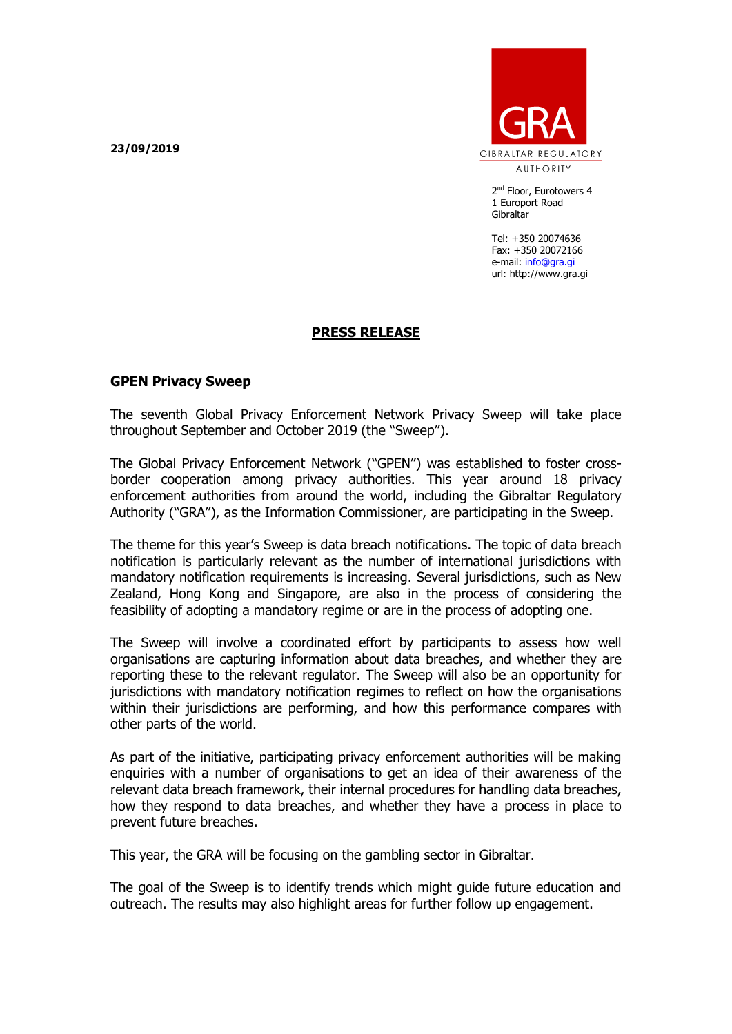**23/09/2019**



2<sup>nd</sup> Floor, Eurotowers 4 1 Europort Road **Gibraltar** 

Tel: +350 20074636 Fax: +350 20072166 e-mail: [info@gra.gi](mailto:info@gra.gi) url: http://www.gra.gi

## **PRESS RELEASE**

## **GPEN Privacy Sweep**

The seventh Global Privacy Enforcement Network Privacy Sweep will take place throughout September and October 2019 (the "Sweep").

The Global Privacy Enforcement Network ("GPEN") was established to foster crossborder cooperation among privacy authorities. This year around 18 privacy enforcement authorities from around the world, including the Gibraltar Regulatory Authority ("GRA"), as the Information Commissioner, are participating in the Sweep.

The theme for this year's Sweep is data breach notifications. The topic of data breach notification is particularly relevant as the number of international jurisdictions with mandatory notification requirements is increasing. Several jurisdictions, such as New Zealand, Hong Kong and Singapore, are also in the process of considering the feasibility of adopting a mandatory regime or are in the process of adopting one.

The Sweep will involve a coordinated effort by participants to assess how well organisations are capturing information about data breaches, and whether they are reporting these to the relevant regulator. The Sweep will also be an opportunity for jurisdictions with mandatory notification regimes to reflect on how the organisations within their jurisdictions are performing, and how this performance compares with other parts of the world.

As part of the initiative, participating privacy enforcement authorities will be making enquiries with a number of organisations to get an idea of their awareness of the relevant data breach framework, their internal procedures for handling data breaches, how they respond to data breaches, and whether they have a process in place to prevent future breaches.

This year, the GRA will be focusing on the gambling sector in Gibraltar.

The goal of the Sweep is to identify trends which might guide future education and outreach. The results may also highlight areas for further follow up engagement.